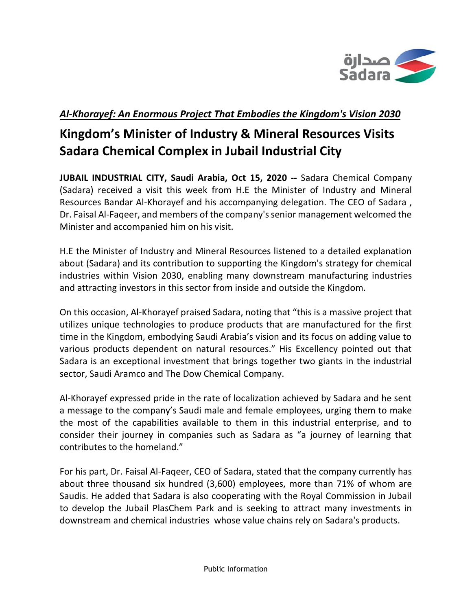

## *Al-Khorayef: An Enormous Project That Embodies the Kingdom's Vision 2030*

# **Kingdom's Minister of Industry & Mineral Resources Visits Sadara Chemical Complex in Jubail Industrial City**

**JUBAIL INDUSTRIAL CITY, Saudi Arabia, Oct 15, 2020 --** Sadara Chemical Company (Sadara) received a visit this week from H.E the Minister of Industry and Mineral Resources Bandar Al-Khorayef and his accompanying delegation. The CEO of Sadara , Dr. Faisal Al-Faqeer, and members of the company's senior management welcomed the Minister and accompanied him on his visit.

H.E the Minister of Industry and Mineral Resources listened to a detailed explanation about (Sadara) and its contribution to supporting the Kingdom's strategy for chemical industries within Vision 2030, enabling many downstream manufacturing industries and attracting investors in this sector from inside and outside the Kingdom.

On this occasion, Al-Khorayef praised Sadara, noting that "this is a massive project that utilizes unique technologies to produce products that are manufactured for the first time in the Kingdom, embodying Saudi Arabia's vision and its focus on adding value to various products dependent on natural resources." His Excellency pointed out that Sadara is an exceptional investment that brings together two giants in the industrial sector, Saudi Aramco and The Dow Chemical Company.

Al-Khorayef expressed pride in the rate of localization achieved by Sadara and he sent a message to the company's Saudi male and female employees, urging them to make the most of the capabilities available to them in this industrial enterprise, and to consider their journey in companies such as Sadara as "a journey of learning that contributes to the homeland."

For his part, Dr. Faisal Al-Faqeer, CEO of Sadara, stated that the company currently has about three thousand six hundred (3,600) employees, more than 71% of whom are Saudis. He added that Sadara is also cooperating with the Royal Commission in Jubail to develop the Jubail PlasChem Park and is seeking to attract many investments in downstream and chemical industries whose value chains rely on Sadara's products.